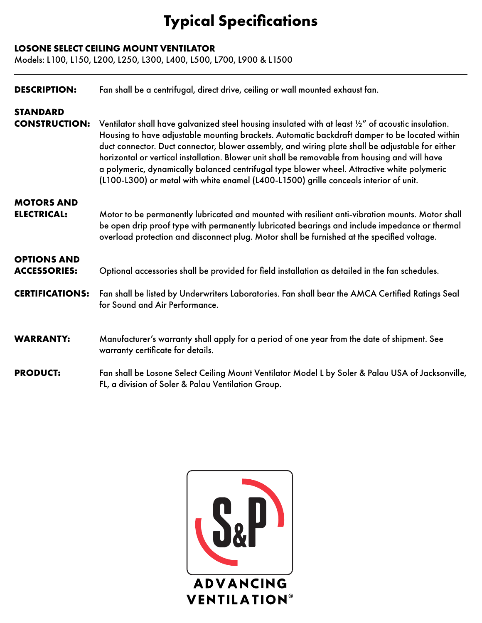## **Typical Specifications**

## **LOSONE SELECT CEILING MOUNT VENTILATOR**

Models: L100, L150, L200, L250, L300, L400, L500, L700, L900 & L1500

| <b>DESCRIPTION:</b>                       | Fan shall be a centrifugal, direct drive, ceiling or wall mounted exhaust fan.                                                                                                                                                                                                                                                                                                                                                                                                                                                                                                                     |
|-------------------------------------------|----------------------------------------------------------------------------------------------------------------------------------------------------------------------------------------------------------------------------------------------------------------------------------------------------------------------------------------------------------------------------------------------------------------------------------------------------------------------------------------------------------------------------------------------------------------------------------------------------|
| <b>STANDARD</b><br><b>CONSTRUCTION:</b>   | Ventilator shall have galvanized steel housing insulated with at least 1/2" of acoustic insulation.<br>Housing to have adjustable mounting brackets. Automatic backdraft damper to be located within<br>duct connector. Duct connector, blower assembly, and wiring plate shall be adjustable for either<br>horizontal or vertical installation. Blower unit shall be removable from housing and will have<br>a polymeric, dynamically balanced centrifugal type blower wheel. Attractive white polymeric<br>(L100-L300) or metal with white enamel (L400-L1500) grille conceals interior of unit. |
| <b>MOTORS AND</b><br><b>ELECTRICAL:</b>   | Motor to be permanently lubricated and mounted with resilient anti-vibration mounts. Motor shall<br>be open drip proof type with permanently lubricated bearings and include impedance or thermal<br>overload protection and disconnect plug. Motor shall be furnished at the specified voltage.                                                                                                                                                                                                                                                                                                   |
| <b>OPTIONS AND</b><br><b>ACCESSORIES:</b> | Optional accessories shall be provided for field installation as detailed in the fan schedules.                                                                                                                                                                                                                                                                                                                                                                                                                                                                                                    |
| <b>CERTIFICATIONS:</b>                    | Fan shall be listed by Underwriters Laboratories. Fan shall bear the AMCA Certified Ratings Seal<br>for Sound and Air Performance.                                                                                                                                                                                                                                                                                                                                                                                                                                                                 |
| <b>WARRANTY:</b>                          | Manufacturer's warranty shall apply for a period of one year from the date of shipment. See<br>warranty certificate for details.                                                                                                                                                                                                                                                                                                                                                                                                                                                                   |
| <b>PRODUCT:</b>                           | Fan shall be Losone Select Ceiling Mount Ventilator Model L by Soler & Palau USA of Jacksonville,<br>FL, a division of Soler & Palau Ventilation Group.                                                                                                                                                                                                                                                                                                                                                                                                                                            |